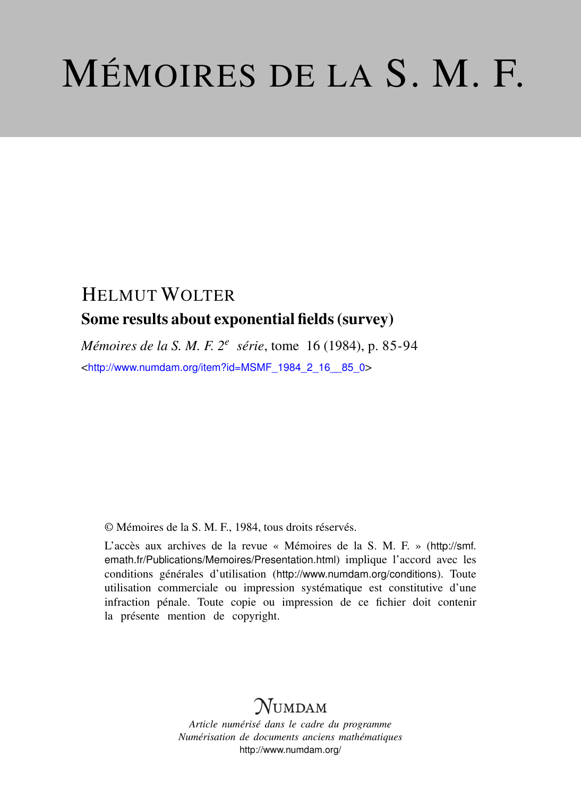# MÉMOIRES DE LA S. M. F.

# HELMUT WOLTER Some results about exponential fields (survey)

*Mémoires de la S. M. F. 2<sup>e</sup> série*, tome 16 (1984), p. 85-94 <[http://www.numdam.org/item?id=MSMF\\_1984\\_2\\_16\\_\\_85\\_0](http://www.numdam.org/item?id=MSMF_1984_2_16__85_0)>

© Mémoires de la S. M. F., 1984, tous droits réservés.

L'accès aux archives de la revue « Mémoires de la S. M. F. » ([http://smf.](http://smf.emath.fr/Publications/Memoires/Presentation.html) [emath.fr/Publications/Memoires/Presentation.html](http://smf.emath.fr/Publications/Memoires/Presentation.html)) implique l'accord avec les conditions générales d'utilisation (<http://www.numdam.org/conditions>). Toute utilisation commerciale ou impression systématique est constitutive d'une infraction pénale. Toute copie ou impression de ce fichier doit contenir la présente mention de copyright.

# **NUMDAM**

*Article numérisé dans le cadre du programme Numérisation de documents anciens mathématiques* <http://www.numdam.org/>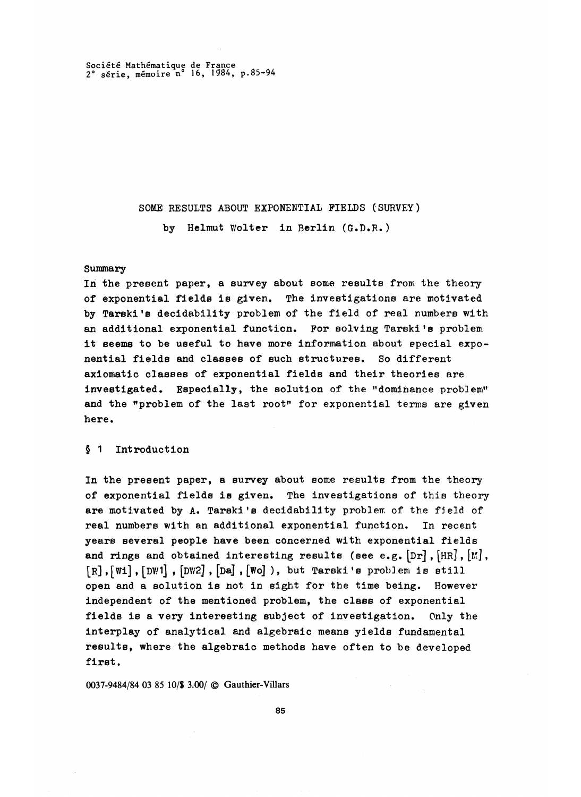Societe Mathematique de France 2° serie, memoire n° 16 , 1984, p.85-94

# SOME RESULTS ABOUT EXPONENTIAL FIELDS (SURVEY) by Helmut Wolter in Berlin (G.D.R. )

#### Summary

In the present paper, a survey about some results from the theory of exponential fields is given. The investigations are motivated by Tarski's decidability problem of the field of real numbers with an additional exponential function. For solving Tarski's problem it seems to be useful to have more information about special exponential fields and classes of such structures. So different axiomatic classes of exponential fields and their theories are investigated. Especially, the solution of the "dominance problem" and the "problem of the last root" for exponential terms are given here.

### § 1 Introduction

In the present paper, a survey about some results from the theory of exponential fields is given. The investigations of this theory are motivated by A. Tarski's decidability problem of the field of real numbers with an additional exponential function. In recent years several people have been concerned with exponential fields and rings and obtained interesting results (see e.g.  $[Dr]$ ,  $[HR]$ ,  $[M]$ ,  $[R], [W1], [DW1], [DW2], [D4], [W0]$ , but Tarski's problem is still open and a solution is not in sight for the time being. However independent of the mentioned problem, the class of exponential fields is a very interesting subject of investigation. Only the interplay of analytical and algebraic means yields fundamental results, where the algebraic methods have often to be developed first.

0037-9484/84 03 85 10/\$ 3.00/ © Gauthier-Villars

85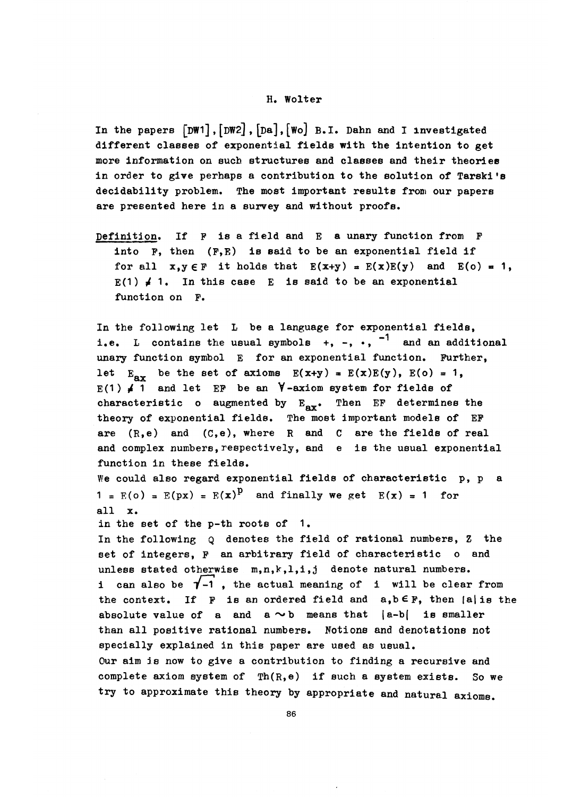#### H. Wolter

In the papers  $[pW1], [DW2], [Da], [Wo]$  B.I. Dahn and I investigated different classes of exponential fields with the intention to get more information on such structures and classes and their theories in order to give perhaps a contribution to the solution of Tarski's decidability problem. The most important results from our papers are presented here in a survey and without proofs.

Definition. If P is a field and E a unary function from P into  $F$ , then  $(F, E)$  is said to be an exponential field if for all  $x, y \in F$  it holds that  $E(x+y) = E(x)E(y)$  and  $E(c) = 1$ ,  $E(1) \neq 1$ . In this case E is said to be an exponential function on F.

In the following let L be a language for exponential fields, i.e. L contains the usual symbols  $+$ ,  $-$ ,  $\cdot$ ,  $^{-1}$  and an additional unary function symbol E for an exponential function. Further, let  $E_{\text{av}}$  be the set of axioms  $E(x+y) = E(x)E(y)$ ,  $E(o) = 1$ ,  $E(1) \neq 1$  and let EF be an  $\forall$ -axiom system for fields of characteristic o augmented by  $E_{\text{av}}$ . Then EF determines the theory of exponential fields. The most important models of EP are  $(R,e)$  and  $(C,e)$ , where R and C are the fields of real and complex numbers, respectively, and e is the usual exponential function in these fields. We could also regard exponential fields of characteristic p, p a  $1 = E(o) = E(px) = E(x)^p$  and finally we get  $E(x) = 1$  for all x.

in the set of the p-th roots of 1.

In the following Q denotes the field of rational numbers, Z the set of integers, F an arbitrary field of characteristic o and unless stated otherwise  $m,n,k,l,i,j$  denote natural numbers. i can also be  $\overline{1}$ -1, the actual meaning of i will be clear from the context. If  $F$  is an ordered field and  $a, b \in F$ , then  $|a|$  is the absolute value of a and  $a \sim b$  means that  $|a-b|$  is smaller than all positive rational numbers. Notions and denotations not specially explained in this paper are used as usual, Our aim is now to give a contribution to finding a recursive and complete axiom system of  $\text{Th}(R,e)$  if such a system exists. So we try to approximate this theory by appropriate and natural axioms.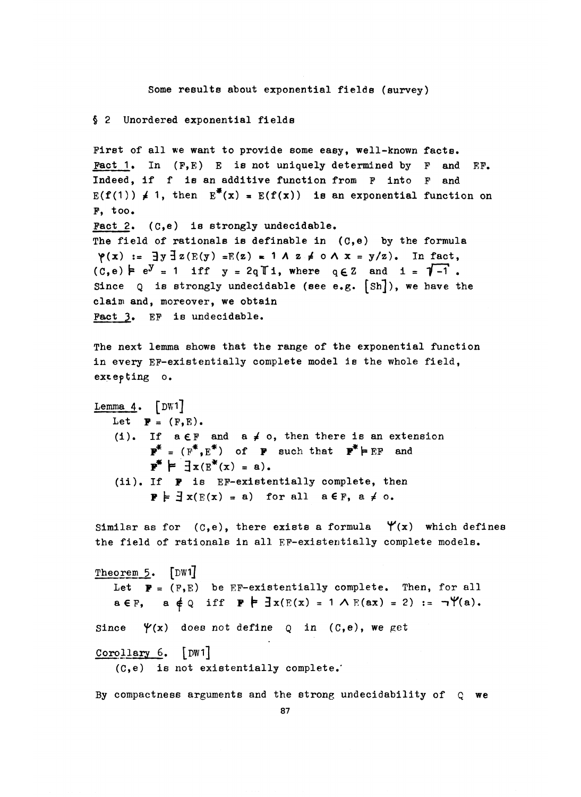Some results about exponential fields (survey)

## § 2 Unordered exponential fields

First of all **we** want to provide some easy, well-known facts. Fact 1. In  $(F, E)$  E is not uniquely determined by F and  $EF$ . Indeed, if f is an additive function from F into P and  $E(f(1)) \neq 1$ , then  $E^*(x) = E(f(x))$  is an exponential function on  $F$ , too. Pact 2. (C,e) is strongly undecidable. The field of rationals is definable in (C,e) by the formula<br>  $\gamma(x) := \exists y \exists z (E(y) = E(z) = 1 \land z \neq 0 \land x = y/z)$ . In fact,<br>
(C,e)  $\vdash e^y = 1$  iff  $y = 2qT_1$ , where  $q \in Z$  and  $i = \sqrt{-1}$ .  $\varphi(x) := \exists y \exists z (E(y) = E(z) = 1 \land z \neq 0 \land x = y/z)$ . In fact, Since  $Q$  is strongly undecidable (see e.g.  $[Sh]$ ), we have the claim and, moreover, we obtain Fact 3» EP is undecidable. The next lemma shows that the range of the exponential function in every EP-existentially complete model is the whole field, excepting o. Lemma  $4.$  [DW1] Let  $\mathbf{F} = (F, E)$ . (i). If  $a \in F$  and  $a \neq o$ , then there is an extension  $\mathbf{P}^* = (\mathbf{F}^*, \mathbf{E}^*)$  of **P** such that  $\mathbf{P}^* \models \mathbf{EF}$  and  $\mathbf{y}^* \models \exists x (E^*(x) = a).$ (ii). If p is EP-existentially complete, then  $\mathbf{P} \models \exists x(E(x) = a)$  for all  $a \in F$ ,  $a \neq 0$ . Similar as for  $(c, e)$ , there exists a formula  $\forall$ (x) which defines the field of rationale in all EP-existentially complete models. Theorem 5. [DW1] Let  $P = (F, E)$  be EF-existentially complete. Then, for all a $\epsilon$ F, a  $\neq$ Q iff P  $\neq$  3x(E(x) = 1 A E(ax) = 2) :=  $\neg$ Y(a). Since  $\forall$ (x) does not define  $Q$  in (C,e), we get Corollary 6. [DWi]

(C,e) is not existentially complete.'

By compactness arguments and the strong undecidability of Q **we**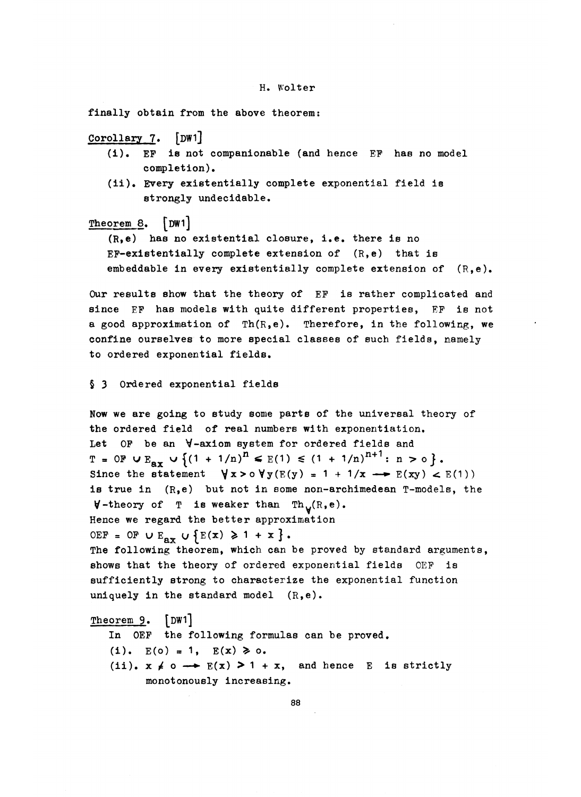finally obtain from the above theorem:

# Corollary *1.* [DWi]

- (i). EP is not companionable (and hence EP has no model completion).
- (ii). Every existentially complete exponential field ie strongly undecidable.

## Theorem 8. [DW1]

 $(R, e)$  has no existential closure, i.e. there is no EF-existentially complete extension of  $(R,e)$  that is embeddable in every existentially complete extension of  $(R,e)$ .

Our results show that the theory of EF is rather complicated and since EF has models with quite different properties, EP is not a good approximation of Th(R,e). Therefore, in the following, **we** confine ourselves to more special classes of such fields, namely to ordered exponential fields.

§ 3 Ordered exponential fields

Now **we** are going to study some parts of the universal theory of the ordered field of real numbers with exponentiation. Let OP be an V-axiom system for ordered fields and  $T = 0$   $\mathbf{F} \cup \mathbf{E_{av}} \cup \{(1 + 1/n)^n \leq E(1) \leq (1 + 1/n)^{n+1}: n > 0\}.$ Since the statement  $\forall x > o \forall y (E(y) = 1 + 1/x \rightarrow E(xy) < E(1))$ is true in  $(R,e)$  but not in some non-archimedean T-models, the  $V$ -theory of T is weaker than Th<sub>v</sub>(R,e). Hence **we** regard the better approximation OEF = OF  $\cup$  E<sub>ax</sub>  $\cup$  {E(x)  $\geq 1 + x$  }. The following theorem, which can be proved by standard arguments, shows that the theory of ordered exponential fields OEF is sufficiently strong to characterize the exponential function uniquely in the standard model  $(R,e)$ .

Theorem **9. [DWi]** In OEP the following formulas can be proved. (i).  $E(0) = 1$ ,  $E(x) \ge 0$ . (ii).  $x \neq 0 \rightarrow E(x) > 1 + x$ , and hence E is strictly monotonously increasing.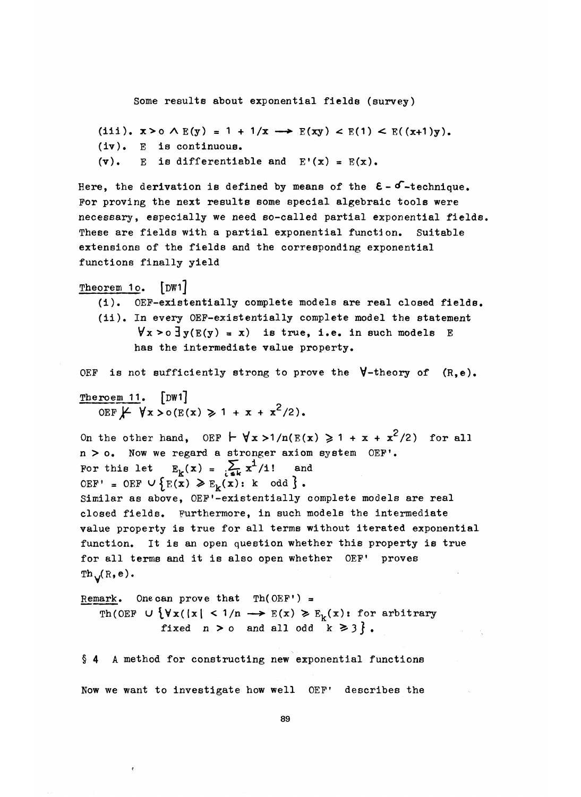Some results about exponential fields (survey)

```
(iii). x > o \wedge E(y) = 1 + 1/x \longrightarrow E(xy) < E(1) < E((x+1)y).
(iv). E is continuous.
(v). E is differentiable and E'(x) = E(x).
```
Here, the derivation is defined by means of the  $\epsilon - \delta$ -technique. For proving the next results some special algebraic tools were necessary, especially we need so-called partial exponential fields. These are fields with a partial exponential function. Suitable extensions of the fields and the corresponding exponential functions finally yield

Theorem 1o. **[DWi]**

- (i). OEF-existentially complete models are real closed fields.
- (ii). In every OEP-existentially complete model the statement  $\forall x > o \exists y (E(y) = x)$  is true, i.e. in such models E has the intermediate value property.

OEF is not sufficiently strong to prove the  $\forall$ -theory of  $(R,e)$ .

Theroem 11. [DW1] OEF  $\cancel{F}$   $\forall x > o(E(x) \geq 1 + x + x^2/2)$ .

On the other hand, OEF  $\vdash \forall x > 1/n(E(x)) \geq 1 + x + x^2/2$  for all  $n > o$ . Now we regard a stronger axiom system OEF'.  $n > 0$ . Now we regard a stronger axion<br>For this let  $E_k(x) = \sum_{k=k}^{n} x^{\frac{1}{2}}/i!$  and OEF' = OEF  $\cup$  {E(x)  $\geq$  E<sub>k</sub>(x): k odd }. Similar as above, OEF'-existentially complete models are real closed fields. Furthermore, in such models the intermediate value property is true for all terms without iterated exponential function. It is an open question whether this property is true for all terms and it is also open whether OEF' proves  $Th_v(R,e).$ 

Remark. One can prove that  $Th(OEF') =$ Th(OEF  $\cup \{ \forall x (\vert x \vert < 1/n \rightarrow E(x) \geq E_k(x) : \text{for arbitrary}\}\$ fixed  $n > o$  and all odd  $k \geq 3$  }.

§ 4 A method for constructing new exponential functions Now we want to investigate how well OEF' describes the

89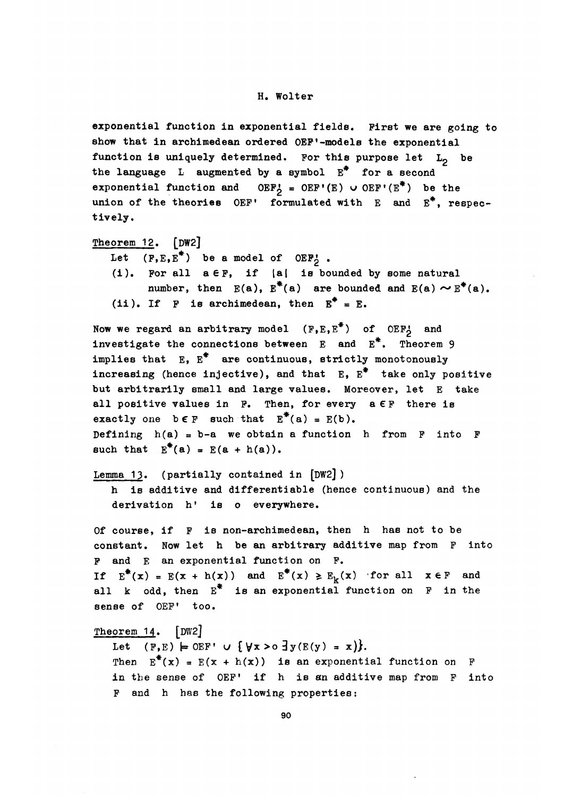#### H. Wolter

exponential function in exponential fields. First we are going to show that in archimedean ordered OEF'-models the exponential function is uniquely determined. For this purpose let  $L_0$  be the language  $L$  augmented by a symbol  $E^*$  for a second exponential function and OEF<sub>5</sub> = OEF'(E)  $\cup$  OEF'(E<sup>\*</sup>) be the union of the theories OEF' formulated with E and  $E^*$ , respectively.

```
Theorem 12. [DW2]
```
- Let  $(F, E, E^*)$  be a model of OEF<sub>2</sub>.
- $(i)$ . For all  $a \in F$ , if  $|a|$  is bounded by some natural number, then  $E(a)$ ,  $E^*(a)$  are bounded and  $E(a) \sim E^*(a)$ . (ii). If F is archimedean, then  $E^* = E$ .

Now we regard an arbitrary model (F,E,E<sup>\*</sup>) of OEF<sub>2</sub> and investigate the connections between  $E$  and  $E^*$ . Theorem 9 implies that  $E$ ,  $E^*$  are continuous, strictly monotonously increasing (hence injective), and that  $E$ ,  $E^*$  take only positive but arbitrarily small and large values. Moreover, let E take all positive values in  $F$ . Then, for every  $a \in F$  there is exactly one  $b \in F$  such that  $E^*(a) = E(b)$ . Defining  $h(a) = b-a$  we obtain a function h from  $F$  into  $F$ such that  $E^*(a) = E(a + h(a))$ .

Lemma 13. (partially contained in  $[DW2]$ )

h is additive and differentiable (hence continuous) and the derivation h' is o everywhere.

Of course, if F is non-archimedean, then h has not to be constant. Now let h be an arbitrary additive map from F into P and E an exponential function on P. If  $E^*(x) = E(x + h(x))$  and  $E^*(x) \geq E_k(x)$  for all  $x \in F$  and all  $k$  odd, then  $E^*$  is an exponential function on  $F$  in the sense of OEF' too.

Theorem 14. [DW2]

Let  $(F, E) \models OEF' \cup \{ \forall x > o \exists y (E(y) = x) \}.$ Then  $E^*(x) = E(x + h(x))$  is an exponential function on F in the sense of OEF' if h is an additive map from F into F and h has the following properties: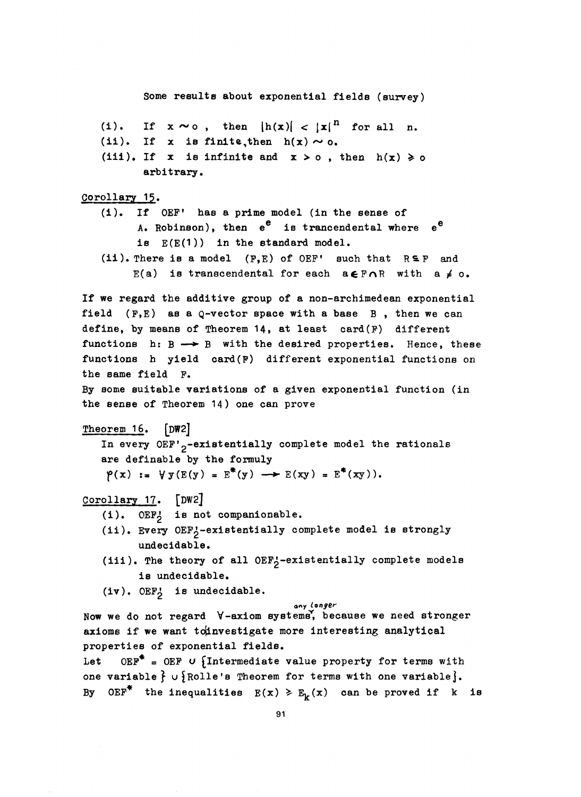Some results about exponential fields (survey) (i). If  $x \sim o$ , then  $|h(x)| < |x|^{|n|}$  for all n. (ii). If x is finite, then  $h(x) \sim o$ . (iii). If x is infinite and  $x > o$ , then  $h(x) \ge o$ arbitrary. Corollary 15.  $\frac{0.1481 \cdot 1.2}{0.161 \cdot 1.2}.$  (1). If OEF' has a prime model (in the sense of A. Robinson), then  $e^e$  is trancendental where  $e^e$ is  $E(E(1))$  in the standard model. (ii). There is a model (F,E) of OEF' such that  $R \subseteq F$  and E(a) is transcendental for each  $a \in F \cap R$  with  $a \neq o$ . If we regard the additive group of a non-archimedean exponential field  $(F, E)$  as a  $Q$ -vector space with a base  $B$ , then we can define, by means of Theorem 14, at least card(F) different functions  $h: B \longrightarrow B$  with the desired properties. Hence, these functions h yield card(F) different exponential functions on the same field F. By some suitable variations of a given exponential function (in the sense of Theorem 14) one can prove Theorem 16. [DW2] In every  $DEF'_{2}$ -existentially complete model the rationals are definable by the formuly  $\varphi(x) := \forall y (E(y) = E^*(y) \longrightarrow E(xy) = E^*(xy)).$ Corollary 17. [DW2] (i). OEP? is not companionable. (ii). Every OEF<sub>2</sub>-existentially complete model is strongly undecidable. (iii). The theory of all  $0EF_2$ -existentially complete models is undecidable.  $(iv)$ . OEF $j$  is undecidable. **arty** *i9^9^r* Now we do not regard V-axiom systems', because we need stronger axioms if we want to investigate more interesting analytical properties of exponential fields. Let  $OEF^* = OEF$  u {Intermediate value property for terms with one variable  $\}$  u {Rolle's Theorem for terms with one variable}. By OEF<sup>\*</sup> the inequalities  $E(x) \ge E_k(x)$  can be proved if k is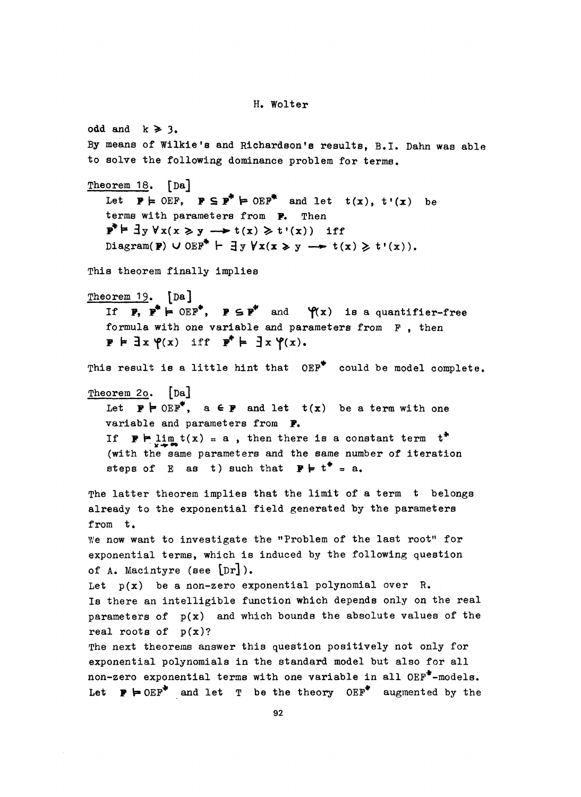odd and  $k \ge 3$ . By means of Wilkie's and Richardson's results, B.I. Dahn was able to solve the following dominance problem for terms, Theorem 18. [Da] Let  $P \models$  OEF,  $P \subseteq P^* \models$  OEF<sup>\*</sup> and let  $t(x)$ ,  $t'(x)$  be terms with parameters from P. Then  $\mathbf{P}^* \models \exists y \forall x (x \geq y \longrightarrow t(x) \geq t'(x))$  if Diagram(P)  $\cup$  OEF<sup>\*</sup>  $\vdash$   $\exists y \forall x (x \geq y \rightarrow t(x) \geq t'(x))$ . This theorem finally implies Theorem 19. **[Da]** If  $\mathbf{F}$ ,  $\mathbf{F}^* \models \text{OEF}^*$ ,  $\mathbf{F} \subseteq \mathbf{F}^*$  and  $\mathcal{P}(x)$  is a quantifier-free formula with one variable and parameters from F, then  $P \not\vdash \exists x \; \varphi(x) \quad \text{iff} \quad P^* \models \exists x \; \varphi(x).$ This result is a little hint that OEF<sup>\*</sup> could be model complete. Theorem 2o. [Da] Let  $\mathbf{P} \models \text{DEF}^*, \quad \text{a} \in \mathbf{P}$  and let  $\mathbf{t}(\mathbf{x})$  be a term with one variable and parameters from **P,** If  $\mathbf{F} \vdash \lim_{x \to \infty} t(x) = a$ , then there is a constant term  $t^*$ (with the same parameters and the same number of iteration steps of E as t) such that  $\mathbf{F} \models t^* = a$ . The latter theorem implies that the limit of a term t belongs already to the exponential field generated by the parameters from t. We now want to investigate the "Problem of the last root" for exponential terms, which is induced by the following question of A. Macintyre (see **[Dr]).** Let  $p(x)$  be a non-zero exponential polynomial over R. Is there an intelligible function which depends only on the real parameters of  $p(x)$  and which bounds the absolute values of the real roots of  $p(x)$ ? The next theorems answer this question positively not only for exponential polynomials in the standard model but also for all non-zero exponential terms with one variable in all OEP\*-models. Let  $\mathbf{P} \models \text{OEF}^*$  and let T be the theory OEF<sup>\*</sup> augmented by the

H. Wolter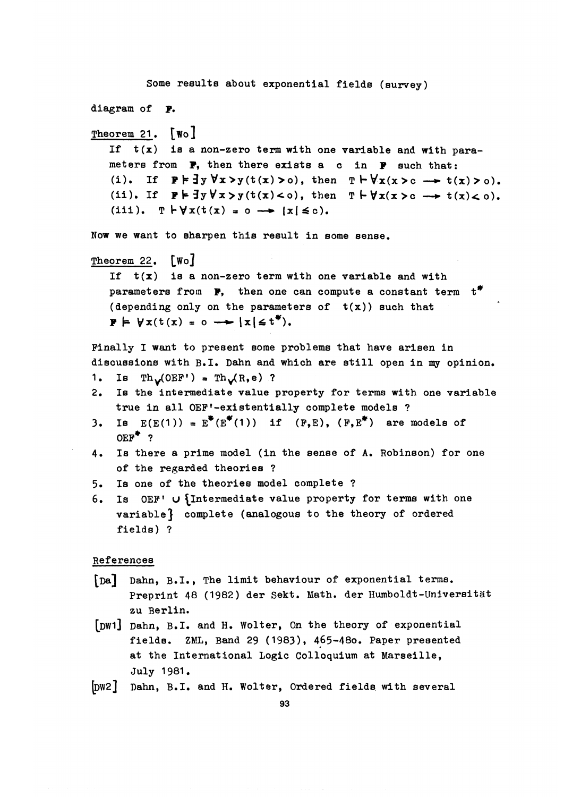```
Some results about exponential fields (survey)
diagram of P.
Theorem 21. [Wo]
   If t(x) is a non-zero term with one variable and with para-
   meters from P, then there exists a c in P such that;
   (i). If P \models \exists y \forall x > y(t(x) > 0), then T \vdash \forall x(x > c \rightarrow t(x) > 0).
   (ii). If P \models \exists y \forall x > y(t(x) < 0), then T \models \forall x(x > c \longrightarrow t(x) < 0).
   (iii). T \vdash \forall x(t(x) = 0 \rightarrow [x] \leq c).Now we want to sharpen this result in some sense.
Theorem 22. [Wo]
   If t(x) is a non-zero term with one variable and with
   parameters from \mathbb{P}, then one can compute a constant term t^*(depending only on the parameters of t(x)) such that
   \mathbf{P} \models \forall x(t(x) = 0 \rightarrow \forall x(\leq t^*).Finally I want to present some problems that have arisen in
discussions with B.I. Dahn and which are still open in my opinion.
1. Is \text{Th}_{\mathcal{U}}(\text{OFF}') = \text{Th}_{\mathcal{U}}(R,e) ?
2. Is the intermediate value property for terms with one variable
    true in all OEF'-existentially complete models ?
3. Is E(E(1)) = E^{\mathbf{F}}(E^{\mathbf{F}}(1)) if (F,E), (F,E^{\mathbf{F}}) are models of
    OER^* ?
4. Is there a prime model (in the sense of A. Robinson) for one
    of the regarded theories ?
5» Is one of the theories model complete ?
6. Is OEF' U {Intermediate value property for terms with one
    variable} complete (analogous to the theory of ordered
    fields) ?
References
[Da] Dahn, B.I., The limit behaviour of exponential terms.
       Preprint 48 (1982) der Sekt. Math. der Humboldt-Universitat
```

```
[DW1] Dahn, B.I. and H. Wolter, On the theory of exponential
     fields. ZML, Band 29 (1983), 465-480. Paper presented
     at the International Logic Colloquium at Marseille,
     July 1981.
```
zu Berlin.

[DW2J Dahn, B.I. and H. Wolter, Ordered fields with several